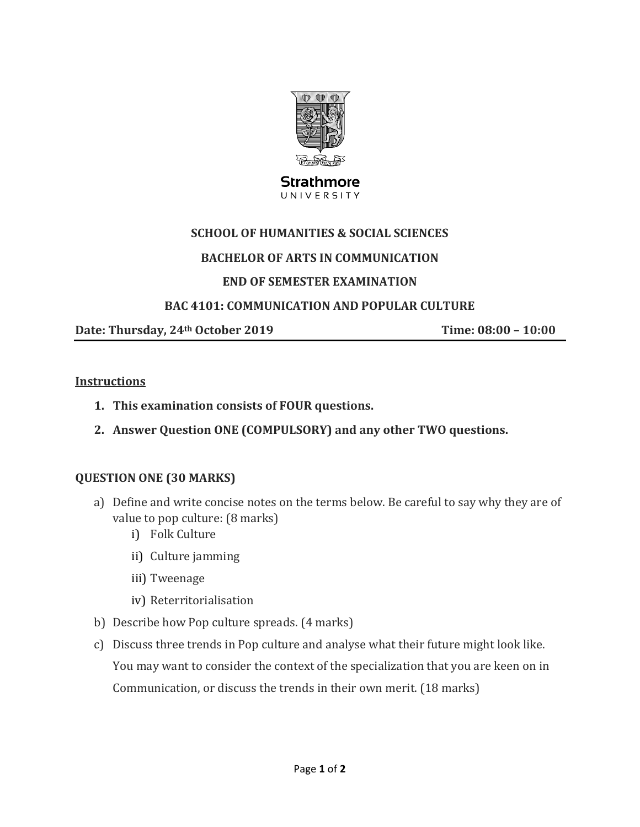

#### **Strathmore** UNIVERSITY

### **SCHOOL OF HUMANITIES & SOCIAL SCIENCES**

### **BACHELOR OF ARTS IN COMMUNICATION**

### **END OF SEMESTER EXAMINATION**

### **BAC 4101: COMMUNICATION AND POPULAR CULTURE**

**Date: Thursday, 24th October 2019 Time: 08:00 – 10:00**

#### **Instructions**

- **1. This examination consists of FOUR questions.**
- **2. Answer Question ONE (COMPULSORY) and any other TWO questions.**

#### **QUESTION ONE (30 MARKS)**

- a) Define and write concise notes on the terms below. Be careful to say why they are of value to pop culture: (8 marks)
	- i) Folk Culture
	- ii) Culture jamming
	- iii) Tweenage
	- iv) Reterritorialisation
- b) Describe how Pop culture spreads. (4 marks)
- c) Discuss three trends in Pop culture and analyse what their future might look like. You may want to consider the context of the specialization that you are keen on in Communication, or discuss the trends in their own merit. (18 marks)